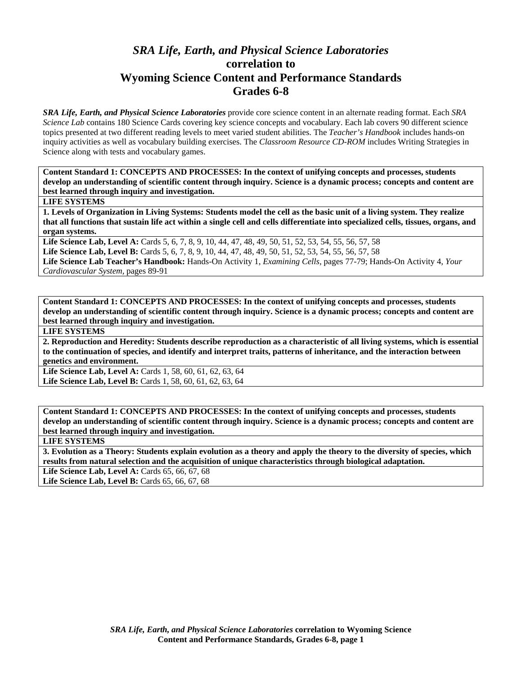## *SRA Life, Earth, and Physical Science Laboratories*  **correlation to Wyoming Science Content and Performance Standards Grades 6-8**

*SRA Life, Earth, and Physical Science Laboratories* provide core science content in an alternate reading format. Each *SRA Science Lab* contains 180 Science Cards covering key science concepts and vocabulary. Each lab covers 90 different science topics presented at two different reading levels to meet varied student abilities. The *Teacher's Handbook* includes hands-on inquiry activities as well as vocabulary building exercises. The *Classroom Resource CD-ROM* includes Writing Strategies in Science along with tests and vocabulary games.

**Content Standard 1: CONCEPTS AND PROCESSES: In the context of unifying concepts and processes, students develop an understanding of scientific content through inquiry. Science is a dynamic process; concepts and content are best learned through inquiry and investigation.** 

## **LIFE SYSTEMS**

**1. Levels of Organization in Living Systems: Students model the cell as the basic unit of a living system. They realize that all functions that sustain life act within a single cell and cells differentiate into specialized cells, tissues, organs, and organ systems.** 

**Life Science Lab, Level A:** Cards 5, 6, 7, 8, 9, 10, 44, 47, 48, 49, 50, 51, 52, 53, 54, 55, 56, 57, 58 **Life Science Lab, Level B:** Cards 5, 6, 7, 8, 9, 10, 44, 47, 48, 49, 50, 51, 52, 53, 54, 55, 56, 57, 58

**Life Science Lab Teacher's Handbook:** Hands-On Activity 1, *Examining Cells,* pages 77-79; Hands-On Activity 4, *Your Cardiovascular System,* pages 89-91

**Content Standard 1: CONCEPTS AND PROCESSES: In the context of unifying concepts and processes, students develop an understanding of scientific content through inquiry. Science is a dynamic process; concepts and content are best learned through inquiry and investigation.** 

**LIFE SYSTEMS** 

**2. Reproduction and Heredity: Students describe reproduction as a characteristic of all living systems, which is essential to the continuation of species, and identify and interpret traits, patterns of inheritance, and the interaction between genetics and environment.** 

Life Science Lab, Level A: Cards 1, 58, 60, 61, 62, 63, 64 Life Science Lab, Level B: Cards 1, 58, 60, 61, 62, 63, 64

**Content Standard 1: CONCEPTS AND PROCESSES: In the context of unifying concepts and processes, students develop an understanding of scientific content through inquiry. Science is a dynamic process; concepts and content are best learned through inquiry and investigation.** 

**LIFE SYSTEMS** 

**3. Evolution as a Theory: Students explain evolution as a theory and apply the theory to the diversity of species, which results from natural selection and the acquisition of unique characteristics through biological adaptation.** 

Life Science Lab, Level A: Cards 65, 66, 67, 68

Life Science Lab, Level B: Cards 65, 66, 67, 68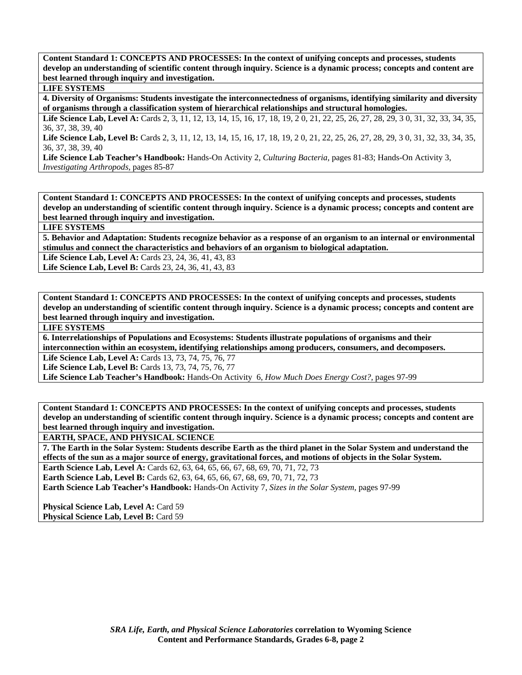**Content Standard 1: CONCEPTS AND PROCESSES: In the context of unifying concepts and processes, students develop an understanding of scientific content through inquiry. Science is a dynamic process; concepts and content are best learned through inquiry and investigation.** 

## **LIFE SYSTEMS**

**4. Diversity of Organisms: Students investigate the interconnectedness of organisms, identifying similarity and diversity of organisms through a classification system of hierarchical relationships and structural homologies.** 

Life Science Lab, Level A: Cards 2, 3, 11, 12, 13, 14, 15, 16, 17, 18, 19, 20, 21, 22, 25, 26, 27, 28, 29, 30, 31, 32, 33, 34, 35, 36, 37, 38, 39, 40

Life Science Lab, Level B: Cards 2, 3, 11, 12, 13, 14, 15, 16, 17, 18, 19, 20, 21, 22, 25, 26, 27, 28, 29, 30, 31, 32, 33, 34, 35, 36, 37, 38, 39, 40

**Life Science Lab Teacher's Handbook:** Hands-On Activity 2, *Culturing Bacteria,* pages 81-83; Hands-On Activity 3, *Investigating Arthropods,* pages 85-87

**Content Standard 1: CONCEPTS AND PROCESSES: In the context of unifying concepts and processes, students develop an understanding of scientific content through inquiry. Science is a dynamic process; concepts and content are best learned through inquiry and investigation.** 

**LIFE SYSTEMS** 

**5. Behavior and Adaptation: Students recognize behavior as a response of an organism to an internal or environmental stimulus and connect the characteristics and behaviors of an organism to biological adaptation.** 

**Life Science Lab, Level A:** Cards 23, 24, 36, 41, 43, 83

Life Science Lab, Level B: Cards 23, 24, 36, 41, 43, 83

**Content Standard 1: CONCEPTS AND PROCESSES: In the context of unifying concepts and processes, students develop an understanding of scientific content through inquiry. Science is a dynamic process; concepts and content are best learned through inquiry and investigation.** 

**LIFE SYSTEMS** 

**6. Interrelationships of Populations and Ecosystems: Students illustrate populations of organisms and their interconnection within an ecosystem, identifying relationships among producers, consumers, and decomposers.** 

**Life Science Lab, Level A:** Cards 13, 73, 74, 75, 76, 77

**Life Science Lab, Level B:** Cards 13, 73, 74, 75, 76, 77

**Life Science Lab Teacher's Handbook:** Hands-On Activity 6, *How Much Does Energy Cost?,* pages 97-99

**Content Standard 1: CONCEPTS AND PROCESSES: In the context of unifying concepts and processes, students develop an understanding of scientific content through inquiry. Science is a dynamic process; concepts and content are best learned through inquiry and investigation.** 

**EARTH, SPACE, AND PHYSICAL SCIENCE** 

**7. The Earth in the Solar System: Students describe Earth as the third planet in the Solar System and understand the effects of the sun as a major source of energy, gravitational forces, and motions of objects in the Solar System.** 

**Earth Science Lab, Level A:** Cards 62, 63, 64, 65, 66, 67, 68, 69, 70, 71, 72, 73

**Earth Science Lab, Level B:** Cards 62, 63, 64, 65, 66, 67, 68, 69, 70, 71, 72, 73

**Earth Science Lab Teacher's Handbook:** Hands-On Activity 7, *Sizes in the Solar System,* pages 97-99

**Physical Science Lab, Level A: Card 59** Physical Science Lab, Level B: Card 59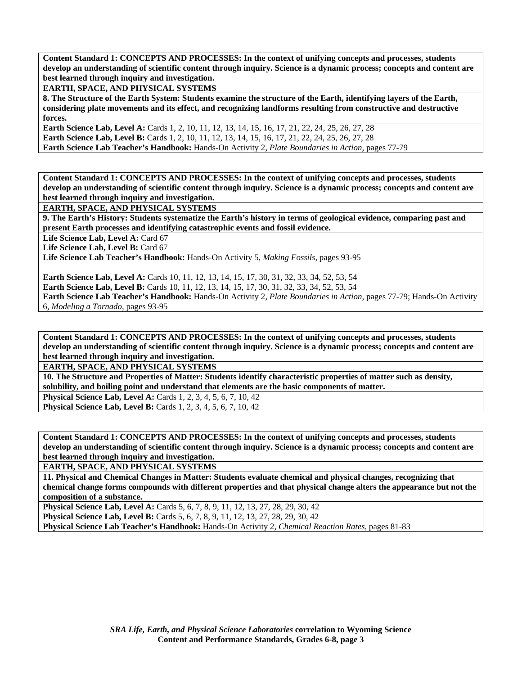**Content Standard 1: CONCEPTS AND PROCESSES: In the context of unifying concepts and processes, students develop an understanding of scientific content through inquiry. Science is a dynamic process; concepts and content are best learned through inquiry and investigation.** 

**EARTH, SPACE, AND PHYSICAL SYSTEMS** 

**8. The Structure of the Earth System: Students examine the structure of the Earth, identifying layers of the Earth, considering plate movements and its effect, and recognizing landforms resulting from constructive and destructive forces.** 

**Earth Science Lab, Level A:** Cards 1, 2, 10, 11, 12, 13, 14, 15, 16, 17, 21, 22, 24, 25, 26, 27, 28 **Earth Science Lab, Level B:** Cards 1, 2, 10, 11, 12, 13, 14, 15, 16, 17, 21, 22, 24, 25, 26, 27, 28 **Earth Science Lab Teacher's Handbook:** Hands-On Activity 2, *Plate Boundaries in Action,* pages 77-79

**Content Standard 1: CONCEPTS AND PROCESSES: In the context of unifying concepts and processes, students develop an understanding of scientific content through inquiry. Science is a dynamic process; concepts and content are best learned through inquiry and investigation.** 

**EARTH, SPACE, AND PHYSICAL SYSTEMS** 

**9. The Earth's History: Students systematize the Earth's history in terms of geological evidence, comparing past and present Earth processes and identifying catastrophic events and fossil evidence.** 

Life Science Lab, Level A: Card 67

Life Science Lab, Level B: Card 67

**Life Science Lab Teacher's Handbook:** Hands-On Activity 5, *Making Fossils,* pages 93-95

**Earth Science Lab, Level A:** Cards 10, 11, 12, 13, 14, 15, 17, 30, 31, 32, 33, 34, 52, 53, 54

**Earth Science Lab, Level B:** Cards 10, 11, 12, 13, 14, 15, 17, 30, 31, 32, 33, 34, 52, 53, 54

**Earth Science Lab Teacher's Handbook:** Hands-On Activity 2, *Plate Boundaries in Action,* pages 77-79; Hands-On Activity 6, *Modeling a Tornado,* pages 93-95

**Content Standard 1: CONCEPTS AND PROCESSES: In the context of unifying concepts and processes, students develop an understanding of scientific content through inquiry. Science is a dynamic process; concepts and content are best learned through inquiry and investigation.** 

**EARTH, SPACE, AND PHYSICAL SYSTEMS** 

**10. The Structure and Properties of Matter: Students identify characteristic properties of matter such as density, solubility, and boiling point and understand that elements are the basic components of matter.** 

**Physical Science Lab, Level A: Cards 1, 2, 3, 4, 5, 6, 7, 10, 42** 

**Physical Science Lab, Level B:** Cards 1, 2, 3, 4, 5, 6, 7, 10, 42

**Content Standard 1: CONCEPTS AND PROCESSES: In the context of unifying concepts and processes, students develop an understanding of scientific content through inquiry. Science is a dynamic process; concepts and content are best learned through inquiry and investigation.** 

**EARTH, SPACE, AND PHYSICAL SYSTEMS** 

**11. Physical and Chemical Changes in Matter: Students evaluate chemical and physical changes, recognizing that chemical change forms compounds with different properties and that physical change alters the appearance but not the composition of a substance.** 

**Physical Science Lab, Level A:** Cards 5, 6, 7, 8, 9, 11, 12, 13, 27, 28, 29, 30, 42 **Physical Science Lab, Level B:** Cards 5, 6, 7, 8, 9, 11, 12, 13, 27, 28, 29, 30, 42 **Physical Science Lab Teacher's Handbook:** Hands-On Activity 2, *Chemical Reaction Rates,* pages 81-83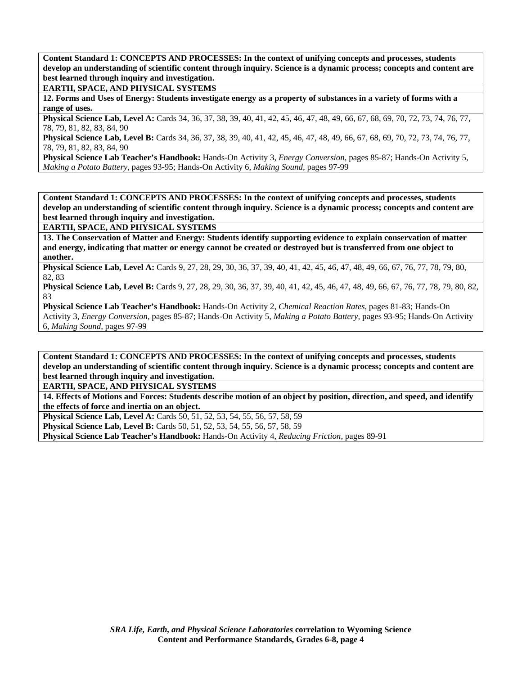**Content Standard 1: CONCEPTS AND PROCESSES: In the context of unifying concepts and processes, students develop an understanding of scientific content through inquiry. Science is a dynamic process; concepts and content are best learned through inquiry and investigation.** 

**EARTH, SPACE, AND PHYSICAL SYSTEMS** 

**12. Forms and Uses of Energy: Students investigate energy as a property of substances in a variety of forms with a range of uses.** 

**Physical Science Lab, Level A:** Cards 34, 36, 37, 38, 39, 40, 41, 42, 45, 46, 47, 48, 49, 66, 67, 68, 69, 70, 72, 73, 74, 76, 77, 78, 79, 81, 82, 83, 84, 90

**Physical Science Lab, Level B:** Cards 34, 36, 37, 38, 39, 40, 41, 42, 45, 46, 47, 48, 49, 66, 67, 68, 69, 70, 72, 73, 74, 76, 77, 78, 79, 81, 82, 83, 84, 90

**Physical Science Lab Teacher's Handbook:** Hands-On Activity 3, *Energy Conversion,* pages 85-87; Hands-On Activity 5, *Making a Potato Battery,* pages 93-95; Hands-On Activity 6, *Making Sound,* pages 97-99

**Content Standard 1: CONCEPTS AND PROCESSES: In the context of unifying concepts and processes, students develop an understanding of scientific content through inquiry. Science is a dynamic process; concepts and content are best learned through inquiry and investigation.** 

**EARTH, SPACE, AND PHYSICAL SYSTEMS** 

**13. The Conservation of Matter and Energy: Students identify supporting evidence to explain conservation of matter and energy, indicating that matter or energy cannot be created or destroyed but is transferred from one object to another.** 

**Physical Science Lab, Level A:** Cards 9, 27, 28, 29, 30, 36, 37, 39, 40, 41, 42, 45, 46, 47, 48, 49, 66, 67, 76, 77, 78, 79, 80, 82, 83

**Physical Science Lab, Level B:** Cards 9, 27, 28, 29, 30, 36, 37, 39, 40, 41, 42, 45, 46, 47, 48, 49, 66, 67, 76, 77, 78, 79, 80, 82, 83

**Physical Science Lab Teacher's Handbook:** Hands-On Activity 2, *Chemical Reaction Rates,* pages 81-83; Hands-On Activity 3, *Energy Conversion,* pages 85-87; Hands-On Activity 5, *Making a Potato Battery,* pages 93-95; Hands-On Activity 6, *Making Sound,* pages 97-99

**Content Standard 1: CONCEPTS AND PROCESSES: In the context of unifying concepts and processes, students develop an understanding of scientific content through inquiry. Science is a dynamic process; concepts and content are best learned through inquiry and investigation.** 

**EARTH, SPACE, AND PHYSICAL SYSTEMS** 

**14. Effects of Motions and Forces: Students describe motion of an object by position, direction, and speed, and identify the effects of force and inertia on an object.** 

**Physical Science Lab, Level A: Cards 50, 51, 52, 53, 54, 55, 56, 57, 58, 59** 

**Physical Science Lab, Level B:** Cards 50, 51, 52, 53, 54, 55, 56, 57, 58, 59

**Physical Science Lab Teacher's Handbook:** Hands-On Activity 4, *Reducing Friction,* pages 89-91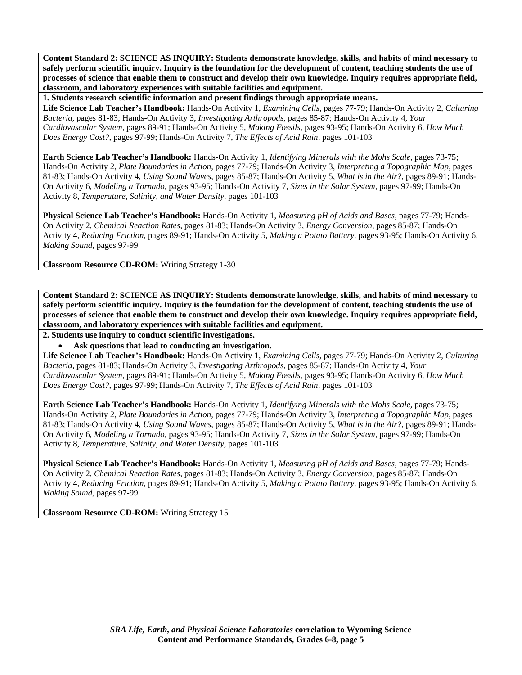**1. Students research scientific information and present findings through appropriate means.** 

**Life Science Lab Teacher's Handbook:** Hands-On Activity 1, *Examining Cells,* pages 77-79; Hands-On Activity 2, *Culturing Bacteria,* pages 81-83; Hands-On Activity 3, *Investigating Arthropods,* pages 85-87; Hands-On Activity 4, *Your Cardiovascular System,* pages 89-91; Hands-On Activity 5, *Making Fossils,* pages 93-95; Hands-On Activity 6, *How Much Does Energy Cost?,* pages 97-99; Hands-On Activity 7, *The Effects of Acid Rain,* pages 101-103

**Earth Science Lab Teacher's Handbook:** Hands-On Activity 1, *Identifying Minerals with the Mohs Scale,* pages 73-75; Hands-On Activity 2, *Plate Boundaries in Action,* pages 77-79; Hands-On Activity 3, *Interpreting a Topographic Map,* pages 81-83; Hands-On Activity 4, *Using Sound Waves,* pages 85-87; Hands-On Activity 5, *What is in the Air?,* pages 89-91; Hands-On Activity 6, *Modeling a Tornado,* pages 93-95; Hands-On Activity 7, *Sizes in the Solar System,* pages 97-99; Hands-On Activity 8, *Temperature, Salinity, and Water Density,* pages 101-103

**Physical Science Lab Teacher's Handbook:** Hands-On Activity 1, *Measuring pH of Acids and Bases,* pages 77-79; Hands-On Activity 2, *Chemical Reaction Rates,* pages 81-83; Hands-On Activity 3, *Energy Conversion,* pages 85-87; Hands-On Activity 4, *Reducing Friction,* pages 89-91; Hands-On Activity 5, *Making a Potato Battery,* pages 93-95; Hands-On Activity 6, *Making Sound,* pages 97-99

**Classroom Resource CD-ROM:** Writing Strategy 1-30

**Content Standard 2: SCIENCE AS INQUIRY: Students demonstrate knowledge, skills, and habits of mind necessary to safely perform scientific inquiry. Inquiry is the foundation for the development of content, teaching students the use of processes of science that enable them to construct and develop their own knowledge. Inquiry requires appropriate field, classroom, and laboratory experiences with suitable facilities and equipment.** 

**2. Students use inquiry to conduct scientific investigations.** 

• **Ask questions that lead to conducting an investigation.** 

**Life Science Lab Teacher's Handbook:** Hands-On Activity 1, *Examining Cells,* pages 77-79; Hands-On Activity 2, *Culturing Bacteria,* pages 81-83; Hands-On Activity 3, *Investigating Arthropods,* pages 85-87; Hands-On Activity 4, *Your Cardiovascular System,* pages 89-91; Hands-On Activity 5, *Making Fossils,* pages 93-95; Hands-On Activity 6, *How Much Does Energy Cost?,* pages 97-99; Hands-On Activity 7, *The Effects of Acid Rain,* pages 101-103

**Earth Science Lab Teacher's Handbook:** Hands-On Activity 1, *Identifying Minerals with the Mohs Scale,* pages 73-75; Hands-On Activity 2, *Plate Boundaries in Action,* pages 77-79; Hands-On Activity 3, *Interpreting a Topographic Map,* pages 81-83; Hands-On Activity 4, *Using Sound Waves,* pages 85-87; Hands-On Activity 5, *What is in the Air?,* pages 89-91; Hands-On Activity 6, *Modeling a Tornado,* pages 93-95; Hands-On Activity 7, *Sizes in the Solar System,* pages 97-99; Hands-On Activity 8, *Temperature, Salinity, and Water Density,* pages 101-103

**Physical Science Lab Teacher's Handbook:** Hands-On Activity 1, *Measuring pH of Acids and Bases,* pages 77-79; Hands-On Activity 2, *Chemical Reaction Rates,* pages 81-83; Hands-On Activity 3, *Energy Conversion,* pages 85-87; Hands-On Activity 4, *Reducing Friction,* pages 89-91; Hands-On Activity 5, *Making a Potato Battery,* pages 93-95; Hands-On Activity 6, *Making Sound,* pages 97-99

**Classroom Resource CD-ROM:** Writing Strategy 15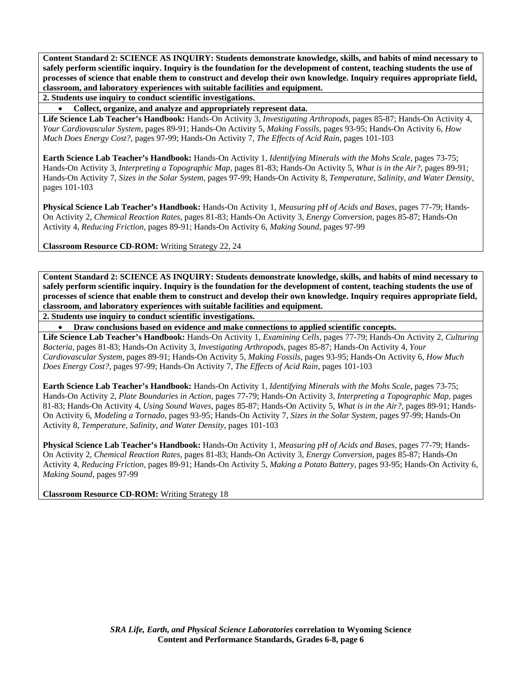**2. Students use inquiry to conduct scientific investigations.** 

• **Collect, organize, and analyze and appropriately represent data.** 

**Life Science Lab Teacher's Handbook:** Hands-On Activity 3, *Investigating Arthropods,* pages 85-87; Hands-On Activity 4, *Your Cardiovascular System,* pages 89-91; Hands-On Activity 5, *Making Fossils,* pages 93-95; Hands-On Activity 6, *How Much Does Energy Cost?,* pages 97-99; Hands-On Activity 7, *The Effects of Acid Rain,* pages 101-103

**Earth Science Lab Teacher's Handbook:** Hands-On Activity 1, *Identifying Minerals with the Mohs Scale,* pages 73-75; Hands-On Activity 3, *Interpreting a Topographic Map,* pages 81-83; Hands-On Activity 5, *What is in the Air?,* pages 89-91; Hands-On Activity 7, *Sizes in the Solar System,* pages 97-99; Hands-On Activity 8, *Temperature, Salinity, and Water Density,* pages 101-103

**Physical Science Lab Teacher's Handbook:** Hands-On Activity 1, *Measuring pH of Acids and Bases,* pages 77-79; Hands-On Activity 2, *Chemical Reaction Rates,* pages 81-83; Hands-On Activity 3, *Energy Conversion,* pages 85-87; Hands-On Activity 4, *Reducing Friction,* pages 89-91; Hands-On Activity 6, *Making Sound,* pages 97-99

**Classroom Resource CD-ROM:** Writing Strategy 22, 24

**Content Standard 2: SCIENCE AS INQUIRY: Students demonstrate knowledge, skills, and habits of mind necessary to safely perform scientific inquiry. Inquiry is the foundation for the development of content, teaching students the use of processes of science that enable them to construct and develop their own knowledge. Inquiry requires appropriate field, classroom, and laboratory experiences with suitable facilities and equipment.** 

**2. Students use inquiry to conduct scientific investigations.** 

• **Draw conclusions based on evidence and make connections to applied scientific concepts.** 

**Life Science Lab Teacher's Handbook:** Hands-On Activity 1, *Examining Cells,* pages 77-79; Hands-On Activity 2, *Culturing Bacteria,* pages 81-83; Hands-On Activity 3, *Investigating Arthropods,* pages 85-87; Hands-On Activity 4, *Your Cardiovascular System,* pages 89-91; Hands-On Activity 5, *Making Fossils,* pages 93-95; Hands-On Activity 6, *How Much Does Energy Cost?,* pages 97-99; Hands-On Activity 7, *The Effects of Acid Rain,* pages 101-103

**Earth Science Lab Teacher's Handbook:** Hands-On Activity 1, *Identifying Minerals with the Mohs Scale,* pages 73-75; Hands-On Activity 2, *Plate Boundaries in Action,* pages 77-79; Hands-On Activity 3, *Interpreting a Topographic Map,* pages 81-83; Hands-On Activity 4, *Using Sound Waves,* pages 85-87; Hands-On Activity 5, *What is in the Air?,* pages 89-91; Hands-On Activity 6, *Modeling a Tornado,* pages 93-95; Hands-On Activity 7, *Sizes in the Solar System,* pages 97-99; Hands-On Activity 8, *Temperature, Salinity, and Water Density,* pages 101-103

**Physical Science Lab Teacher's Handbook:** Hands-On Activity 1, *Measuring pH of Acids and Bases,* pages 77-79; Hands-On Activity 2, *Chemical Reaction Rates,* pages 81-83; Hands-On Activity 3, *Energy Conversion,* pages 85-87; Hands-On Activity 4, *Reducing Friction,* pages 89-91; Hands-On Activity 5, *Making a Potato Battery,* pages 93-95; Hands-On Activity 6, *Making Sound,* pages 97-99

**Classroom Resource CD-ROM:** Writing Strategy 18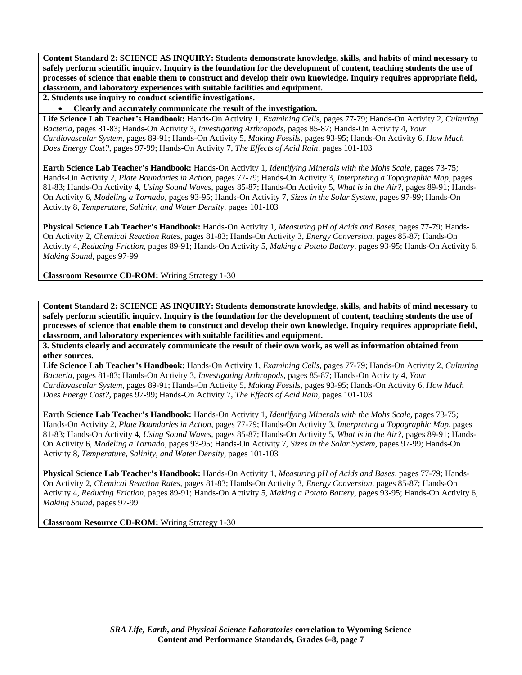**2. Students use inquiry to conduct scientific investigations.** 

• **Clearly and accurately communicate the result of the investigation.** 

**Life Science Lab Teacher's Handbook:** Hands-On Activity 1, *Examining Cells,* pages 77-79; Hands-On Activity 2, *Culturing Bacteria,* pages 81-83; Hands-On Activity 3, *Investigating Arthropods,* pages 85-87; Hands-On Activity 4, *Your Cardiovascular System,* pages 89-91; Hands-On Activity 5, *Making Fossils,* pages 93-95; Hands-On Activity 6, *How Much Does Energy Cost?,* pages 97-99; Hands-On Activity 7, *The Effects of Acid Rain,* pages 101-103

**Earth Science Lab Teacher's Handbook:** Hands-On Activity 1, *Identifying Minerals with the Mohs Scale,* pages 73-75; Hands-On Activity 2, *Plate Boundaries in Action,* pages 77-79; Hands-On Activity 3, *Interpreting a Topographic Map,* pages 81-83; Hands-On Activity 4, *Using Sound Waves,* pages 85-87; Hands-On Activity 5, *What is in the Air?,* pages 89-91; Hands-On Activity 6, *Modeling a Tornado,* pages 93-95; Hands-On Activity 7, *Sizes in the Solar System,* pages 97-99; Hands-On Activity 8, *Temperature, Salinity, and Water Density,* pages 101-103

**Physical Science Lab Teacher's Handbook:** Hands-On Activity 1, *Measuring pH of Acids and Bases,* pages 77-79; Hands-On Activity 2, *Chemical Reaction Rates,* pages 81-83; Hands-On Activity 3, *Energy Conversion,* pages 85-87; Hands-On Activity 4, *Reducing Friction,* pages 89-91; Hands-On Activity 5, *Making a Potato Battery,* pages 93-95; Hands-On Activity 6, *Making Sound,* pages 97-99

**Classroom Resource CD-ROM:** Writing Strategy 1-30

**Content Standard 2: SCIENCE AS INQUIRY: Students demonstrate knowledge, skills, and habits of mind necessary to safely perform scientific inquiry. Inquiry is the foundation for the development of content, teaching students the use of processes of science that enable them to construct and develop their own knowledge. Inquiry requires appropriate field, classroom, and laboratory experiences with suitable facilities and equipment.** 

**3. Students clearly and accurately communicate the result of their own work, as well as information obtained from other sources.** 

**Life Science Lab Teacher's Handbook:** Hands-On Activity 1, *Examining Cells,* pages 77-79; Hands-On Activity 2, *Culturing Bacteria,* pages 81-83; Hands-On Activity 3, *Investigating Arthropods,* pages 85-87; Hands-On Activity 4, *Your Cardiovascular System,* pages 89-91; Hands-On Activity 5, *Making Fossils,* pages 93-95; Hands-On Activity 6, *How Much Does Energy Cost?,* pages 97-99; Hands-On Activity 7, *The Effects of Acid Rain,* pages 101-103

**Earth Science Lab Teacher's Handbook:** Hands-On Activity 1, *Identifying Minerals with the Mohs Scale,* pages 73-75; Hands-On Activity 2, *Plate Boundaries in Action,* pages 77-79; Hands-On Activity 3, *Interpreting a Topographic Map,* pages 81-83; Hands-On Activity 4, *Using Sound Waves,* pages 85-87; Hands-On Activity 5, *What is in the Air?,* pages 89-91; Hands-On Activity 6, *Modeling a Tornado,* pages 93-95; Hands-On Activity 7, *Sizes in the Solar System,* pages 97-99; Hands-On Activity 8, *Temperature, Salinity, and Water Density,* pages 101-103

**Physical Science Lab Teacher's Handbook:** Hands-On Activity 1, *Measuring pH of Acids and Bases,* pages 77-79; Hands-On Activity 2, *Chemical Reaction Rates,* pages 81-83; Hands-On Activity 3, *Energy Conversion,* pages 85-87; Hands-On Activity 4, *Reducing Friction,* pages 89-91; Hands-On Activity 5, *Making a Potato Battery,* pages 93-95; Hands-On Activity 6, *Making Sound,* pages 97-99

**Classroom Resource CD-ROM:** Writing Strategy 1-30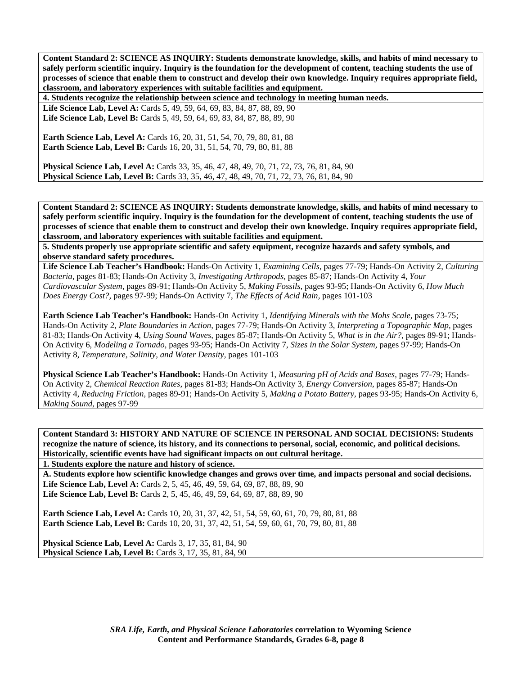**4. Students recognize the relationship between science and technology in meeting human needs.** 

Life Science Lab, Level A: Cards 5, 49, 59, 64, 69, 83, 84, 87, 88, 89, 90 Life Science Lab, Level B: Cards 5, 49, 59, 64, 69, 83, 84, 87, 88, 89, 90

**Earth Science Lab, Level A: Cards 16, 20, 31, 51, 54, 70, 79, 80, 81, 88 Earth Science Lab, Level B:** Cards 16, 20, 31, 51, 54, 70, 79, 80, 81, 88

**Physical Science Lab, Level A:** Cards 33, 35, 46, 47, 48, 49, 70, 71, 72, 73, 76, 81, 84, 90 **Physical Science Lab, Level B:** Cards 33, 35, 46, 47, 48, 49, 70, 71, 72, 73, 76, 81, 84, 90

**Content Standard 2: SCIENCE AS INQUIRY: Students demonstrate knowledge, skills, and habits of mind necessary to safely perform scientific inquiry. Inquiry is the foundation for the development of content, teaching students the use of processes of science that enable them to construct and develop their own knowledge. Inquiry requires appropriate field, classroom, and laboratory experiences with suitable facilities and equipment.** 

**5. Students properly use appropriate scientific and safety equipment, recognize hazards and safety symbols, and observe standard safety procedures.** 

**Life Science Lab Teacher's Handbook:** Hands-On Activity 1, *Examining Cells,* pages 77-79; Hands-On Activity 2, *Culturing Bacteria,* pages 81-83; Hands-On Activity 3, *Investigating Arthropods,* pages 85-87; Hands-On Activity 4, *Your Cardiovascular System,* pages 89-91; Hands-On Activity 5, *Making Fossils,* pages 93-95; Hands-On Activity 6, *How Much Does Energy Cost?,* pages 97-99; Hands-On Activity 7, *The Effects of Acid Rain,* pages 101-103

**Earth Science Lab Teacher's Handbook:** Hands-On Activity 1, *Identifying Minerals with the Mohs Scale,* pages 73-75; Hands-On Activity 2, *Plate Boundaries in Action,* pages 77-79; Hands-On Activity 3, *Interpreting a Topographic Map,* pages 81-83; Hands-On Activity 4, *Using Sound Waves,* pages 85-87; Hands-On Activity 5, *What is in the Air?,* pages 89-91; Hands-On Activity 6, *Modeling a Tornado,* pages 93-95; Hands-On Activity 7, *Sizes in the Solar System,* pages 97-99; Hands-On Activity 8, *Temperature, Salinity, and Water Density,* pages 101-103

**Physical Science Lab Teacher's Handbook:** Hands-On Activity 1, *Measuring pH of Acids and Bases,* pages 77-79; Hands-On Activity 2, *Chemical Reaction Rates,* pages 81-83; Hands-On Activity 3, *Energy Conversion,* pages 85-87; Hands-On Activity 4, *Reducing Friction,* pages 89-91; Hands-On Activity 5, *Making a Potato Battery,* pages 93-95; Hands-On Activity 6, *Making Sound,* pages 97-99

**Content Standard 3: HISTORY AND NATURE OF SCIENCE IN PERSONAL AND SOCIAL DECISIONS: Students recognize the nature of science, its history, and its connections to personal, social, economic, and political decisions. Historically, scientific events have had significant impacts on out cultural heritage.** 

**1. Students explore the nature and history of science.** 

**A. Students explore how scientific knowledge changes and grows over time, and impacts personal and social decisions. Life Science Lab, Level A:** Cards 2, 5, 45, 46, 49, 59, 64, 69, 87, 88, 89, 90

Life Science Lab, Level B: Cards 2, 5, 45, 46, 49, 59, 64, 69, 87, 88, 89, 90

**Earth Science Lab, Level A:** Cards 10, 20, 31, 37, 42, 51, 54, 59, 60, 61, 70, 79, 80, 81, 88 **Earth Science Lab, Level B:** Cards 10, 20, 31, 37, 42, 51, 54, 59, 60, 61, 70, 79, 80, 81, 88

**Physical Science Lab, Level A: Cards 3, 17, 35, 81, 84, 90 Physical Science Lab, Level B:** Cards 3, 17, 35, 81, 84, 90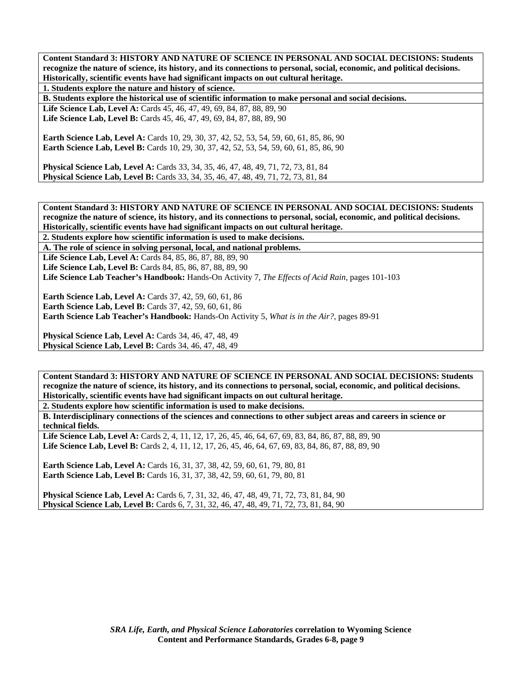**Content Standard 3: HISTORY AND NATURE OF SCIENCE IN PERSONAL AND SOCIAL DECISIONS: Students recognize the nature of science, its history, and its connections to personal, social, economic, and political decisions. Historically, scientific events have had significant impacts on out cultural heritage.** 

**1. Students explore the nature and history of science.** 

**B. Students explore the historical use of scientific information to make personal and social decisions.** 

Life Science Lab, Level A: Cards 45, 46, 47, 49, 69, 84, 87, 88, 89, 90 Life Science Lab, Level B: Cards 45, 46, 47, 49, 69, 84, 87, 88, 89, 90

Earth Science Lab, Level A: Cards 10, 29, 30, 37, 42, 52, 53, 54, 59, 60, 61, 85, 86, 90 **Earth Science Lab, Level B:** Cards 10, 29, 30, 37, 42, 52, 53, 54, 59, 60, 61, 85, 86, 90

**Physical Science Lab, Level A:** Cards 33, 34, 35, 46, 47, 48, 49, 71, 72, 73, 81, 84 **Physical Science Lab, Level B:** Cards 33, 34, 35, 46, 47, 48, 49, 71, 72, 73, 81, 84

**Content Standard 3: HISTORY AND NATURE OF SCIENCE IN PERSONAL AND SOCIAL DECISIONS: Students recognize the nature of science, its history, and its connections to personal, social, economic, and political decisions. Historically, scientific events have had significant impacts on out cultural heritage.** 

**2. Students explore how scientific information is used to make decisions.** 

**A. The role of science in solving personal, local, and national problems.** 

**Life Science Lab, Level A:** Cards 84, 85, 86, 87, 88, 89, 90

Life Science Lab, Level B: Cards 84, 85, 86, 87, 88, 89, 90

**Life Science Lab Teacher's Handbook:** Hands-On Activity 7, *The Effects of Acid Rain,* pages 101-103

**Earth Science Lab, Level A: Cards 37, 42, 59, 60, 61, 86 Earth Science Lab, Level B:** Cards 37, 42, 59, 60, 61, 86 **Earth Science Lab Teacher's Handbook:** Hands-On Activity 5, *What is in the Air?,* pages 89-91

**Physical Science Lab, Level A:** Cards 34, 46, 47, 48, 49 **Physical Science Lab, Level B:** Cards 34, 46, 47, 48, 49

**Content Standard 3: HISTORY AND NATURE OF SCIENCE IN PERSONAL AND SOCIAL DECISIONS: Students recognize the nature of science, its history, and its connections to personal, social, economic, and political decisions. Historically, scientific events have had significant impacts on out cultural heritage.** 

**2. Students explore how scientific information is used to make decisions.** 

**B. Interdisciplinary connections of the sciences and connections to other subject areas and careers in science or technical fields.** 

**Life Science Lab, Level A:** Cards 2, 4, 11, 12, 17, 26, 45, 46, 64, 67, 69, 83, 84, 86, 87, 88, 89, 90 **Life Science Lab, Level B:** Cards 2, 4, 11, 12, 17, 26, 45, 46, 64, 67, 69, 83, 84, 86, 87, 88, 89, 90

**Earth Science Lab, Level A:** Cards 16, 31, 37, 38, 42, 59, 60, 61, 79, 80, 81 **Earth Science Lab, Level B:** Cards 16, 31, 37, 38, 42, 59, 60, 61, 79, 80, 81

**Physical Science Lab, Level A:** Cards 6, 7, 31, 32, 46, 47, 48, 49, 71, 72, 73, 81, 84, 90 **Physical Science Lab, Level B:** Cards 6, 7, 31, 32, 46, 47, 48, 49, 71, 72, 73, 81, 84, 90